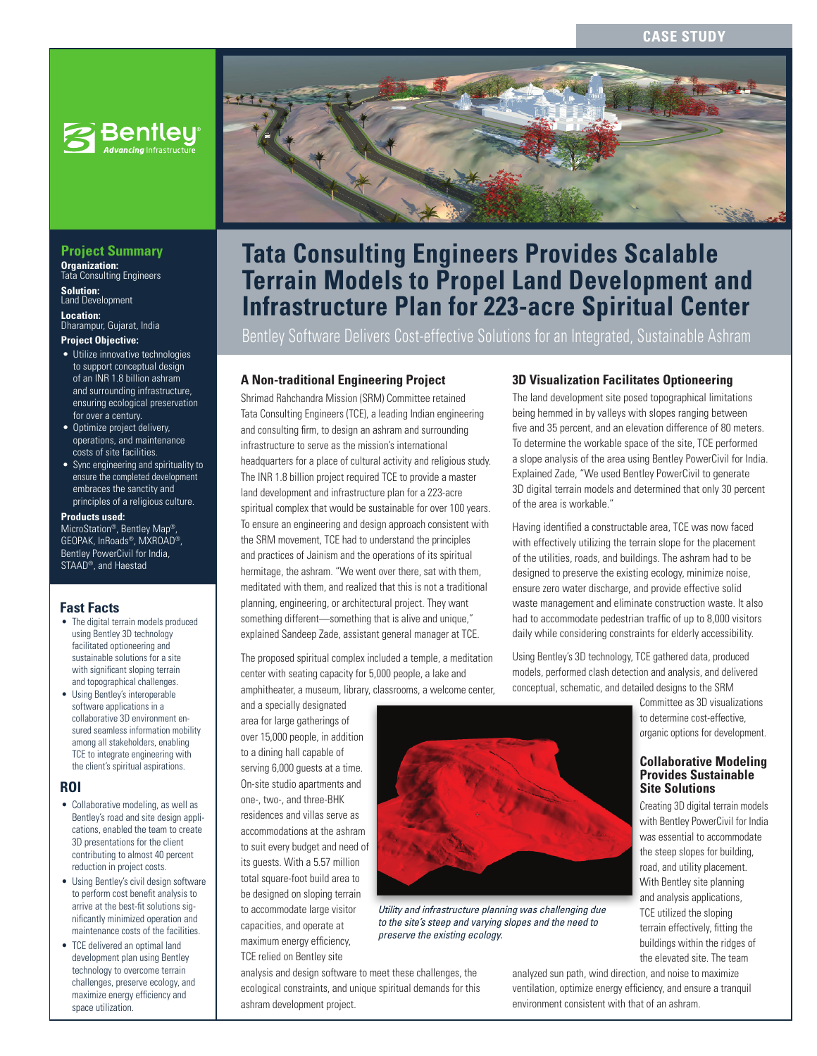## **CASE STUDY**



# **Project Summary Organization:**  Tata Consulting Engineers

**Solution:**  Land Development

**Location:**  Dharampur, Gujarat, India

#### **Project Objective:**

- Utilize innovative technologies to support conceptual design of an INR 1.8 billion ashram and surrounding infrastructure, ensuring ecological preservation for over a century.
- Optimize project delivery, operations, and maintenance costs of site facilities.
- Sync engineering and spirituality to ensure the completed development embraces the sanctity and principles of a religious culture.

#### **Products used:**

MicroStation®, Bentley Map®, GEOPAK, InRoads®, MXROAD®, Bentley PowerCivil for India, STAAD®, and Haestad

## **Fast Facts**

- The digital terrain models produced using Bentley 3D technology facilitated optioneering and sustainable solutions for a site with significant sloping terrain and topographical challenges.
- Using Bentley's interoperable software applications in a collaborative 3D environment ensured seamless information mobility among all stakeholders, enabling TCE to integrate engineering with the client's spiritual aspirations.

#### **ROI**

- Collaborative modeling, as well as Bentley's road and site design applications, enabled the team to create 3D presentations for the client contributing to almost 40 percent reduction in project costs.
- Using Bentley's civil design software to perform cost benefit analysis to arrive at the best-fit solutions significantly minimized operation and maintenance costs of the facilities.
- TCE delivered an optimal land development plan using Bentley technology to overcome terrain challenges, preserve ecology, and maximize energy efficiency and space utilization.



# **Tata Consulting Engineers Provides Scalable Terrain Models to Propel Land Development and Infrastructure Plan for 223-acre Spiritual Center**

Bentley Software Delivers Cost-effective Solutions for an Integrated, Sustainable Ashram

## **A Non-traditional Engineering Project**

Shrimad Rahchandra Mission (SRM) Committee retained Tata Consulting Engineers (TCE), a leading Indian engineering and consulting firm, to design an ashram and surrounding infrastructure to serve as the mission's international headquarters for a place of cultural activity and religious study. The INR 1.8 billion project required TCE to provide a master land development and infrastructure plan for a 223-acre spiritual complex that would be sustainable for over 100 years. To ensure an engineering and design approach consistent with the SRM movement, TCE had to understand the principles and practices of Jainism and the operations of its spiritual hermitage, the ashram. "We went over there, sat with them, meditated with them, and realized that this is not a traditional planning, engineering, or architectural project. They want something different—something that is alive and unique," explained Sandeep Zade, assistant general manager at TCE.

The proposed spiritual complex included a temple, a meditation center with seating capacity for 5,000 people, a lake and amphitheater, a museum, library, classrooms, a welcome center,

and a specially designated area for large gatherings of over 15,000 people, in addition to a dining hall capable of serving 6,000 guests at a time. On-site studio apartments and one-, two-, and three-BHK residences and villas serve as accommodations at the ashram to suit every budget and need of its guests. With a 5.57 million total square-foot build area to be designed on sloping terrain to accommodate large visitor capacities, and operate at maximum energy efficiency, TCE relied on Bentley site



*Utility and infrastructure planning was challenging due to the site's steep and varying slopes and the need to preserve the existing ecology.* 

analysis and design software to meet these challenges, the ecological constraints, and unique spiritual demands for this ashram development project.

#### **3D Visualization Facilitates Optioneering**

The land development site posed topographical limitations being hemmed in by valleys with slopes ranging between five and 35 percent, and an elevation difference of 80 meters. To determine the workable space of the site, TCE performed a slope analysis of the area using Bentley PowerCivil for India. Explained Zade, "We used Bentley PowerCivil to generate 3D digital terrain models and determined that only 30 percent of the area is workable."

Having identified a constructable area, TCE was now faced with effectively utilizing the terrain slope for the placement of the utilities, roads, and buildings. The ashram had to be designed to preserve the existing ecology, minimize noise, ensure zero water discharge, and provide effective solid waste management and eliminate construction waste. It also had to accommodate pedestrian traffic of up to 8,000 visitors daily while considering constraints for elderly accessibility.

Using Bentley's 3D technology, TCE gathered data, produced models, performed clash detection and analysis, and delivered conceptual, schematic, and detailed designs to the SRM

> Committee as 3D visualizations to determine cost-effective, organic options for development.

#### **Collaborative Modeling Provides Sustainable Site Solutions**

Creating 3D digital terrain models with Bentley PowerCivil for India was essential to accommodate the steep slopes for building, road, and utility placement. With Bentley site planning and analysis applications, TCE utilized the sloping terrain effectively, fitting the buildings within the ridges of the elevated site. The team

analyzed sun path, wind direction, and noise to maximize ventilation, optimize energy efficiency, and ensure a tranquil environment consistent with that of an ashram.